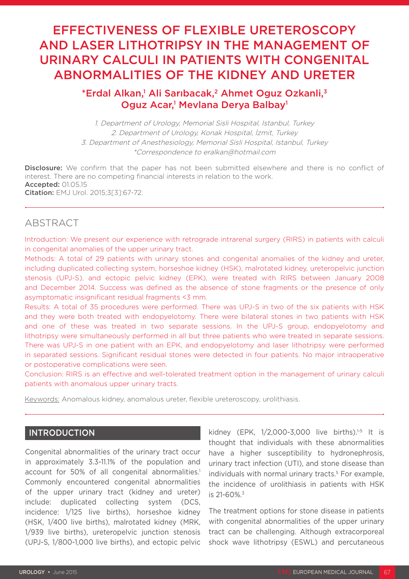# EFFECTIVENESS OF FLEXIBLE URETEROSCOPY AND LASER LITHOTRIPSY IN THE MANAGEMENT OF URINARY CALCULI IN PATIENTS WITH CONGENITAL ABNORMALITIES OF THE KIDNEY AND URETER

## \*Erdal Alkan,<sup>1</sup> Ali Sarıbacak,<sup>2</sup> Ahmet Oguz Ozkanli,<sup>3</sup> Oguz Acar,<sup>1</sup> Mevlana Derya Balbay<sup>1</sup>

1. Department of Urology, Memorial Sisli Hospital, Istanbul, Turkey 2. Department of Urology, Konak Hospital, İzmit, Turkey 3. Department of Anesthesiology, Memorial Sisli Hospital, Istanbul, Turkey \*Correspondence to eralkan@hotmail.com

Disclosure: We confirm that the paper has not been submitted elsewhere and there is no conflict of interest. There are no competing financial interests in relation to the work. Accepted: 01.05.15 Citation: EMJ Urol. 2015;3[3]:67-72.

## ABSTRACT

Introduction: We present our experience with retrograde intrarenal surgery (RIRS) in patients with calculi in congenital anomalies of the upper urinary tract.

Methods: A total of 29 patients with urinary stones and congenital anomalies of the kidney and ureter, including duplicated collecting system, horseshoe kidney (HSK), malrotated kidney, ureteropelvic junction stenosis (UPJ-S), and ectopic pelvic kidney (EPK), were treated with RIRS between January 2008 and December 2014. Success was defined as the absence of stone fragments or the presence of only asymptomatic insignificant residual fragments <3 mm.

Results: A total of 35 procedures were performed. There was UPJ-S in two of the six patients with HSK and they were both treated with endopyelotomy. There were bilateral stones in two patients with HSK and one of these was treated in two separate sessions. In the UPJ-S group, endopyelotomy and lithotripsy were simultaneously performed in all but three patients who were treated in separate sessions. There was UPJ-S in one patient with an EPK, and endopyelotomy and laser lithotripsy were performed in separated sessions. Significant residual stones were detected in four patients. No major intraoperative or postoperative complications were seen.

Conclusion: RIRS is an effective and well-tolerated treatment option in the management of urinary calculi patients with anomalous upper urinary tracts.

Keywords: Anomalous kidney, anomalous ureter, flexible ureteroscopy, urolithiasis.

## INTRODUCTION

Congenital abnormalities of the urinary tract occur in approximately 3.3-11.1% of the population and account for 50% of all congenital abnormalities.<sup>1</sup> Commonly encountered congenital abnormalities of the upper urinary tract (kidney and ureter) include: duplicated collecting system (DCS, incidence: 1/125 live births), horseshoe kidney (HSK, 1/400 live births), malrotated kidney (MRK, 1/939 live births), ureteropelvic junction stenosis (UPJ-S, 1/800-1,000 live births), and ectopic pelvic kidney (EPK, 1/2,000-3,000 live births).<sup>1-5</sup> It is thought that individuals with these abnormalities have a higher susceptibility to hydronephrosis, urinary tract infection (UTI), and stone disease than individuals with normal urinary tracts.<sup>5</sup> For example, the incidence of urolithiasis in patients with HSK is  $21 - 60\%$ <sup>3</sup>

The treatment options for stone disease in patients with congenital abnormalities of the upper urinary tract can be challenging. Although extracorporeal shock wave lithotripsy (ESWL) and percutaneous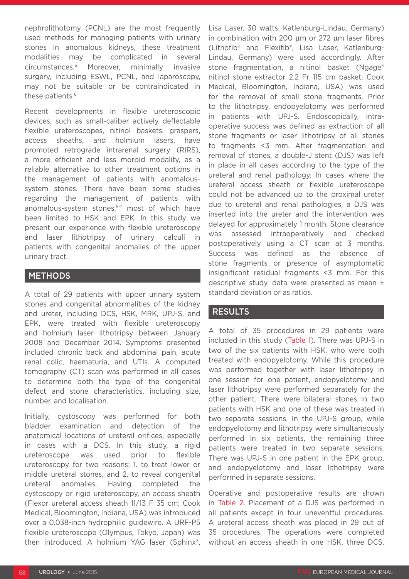nephrolithotomy (PCNL) are the most frequently used methods for managing patients with urinary stones in anomalous kidneys, these treatment modalities may be complicated in several circumstances.6 Moreover, minimally invasive surgery, including ESWL, PCNL, and laparoscopy, may not be suitable or be contraindicated in these patients.<sup>6</sup>

Recent developments in flexible ureteroscopic devices, such as small-caliber actively deflectable flexible ureteroscopes, nitinol baskets, graspers, access sheaths, and holmium lasers, have promoted retrograde intrarenal surgery (RIRS), a more efficient and less morbid modality, as a reliable alternative to other treatment options in the management of patients with anomaloussystem stones. There have been some studies regarding the management of patients with anomalous-system stones,<sup>5-7</sup> most of which have been limited to HSK and EPK. In this study we present our experience with flexible ureteroscopy and laser lithotripsy of urinary calculi in patients with congenital anomalies of the upper urinary tract.

## METHODS

A total of 29 patients with upper urinary system stones and congenital abnormalities of the kidney and ureter, including DCS, HSK, MRK, UPJ-S, and EPK, were treated with flexible ureteroscopy and holmium laser lithotripsy between January 2008 and December 2014. Symptoms presented included chronic back and abdominal pain, acute renal colic, haematuria, and UTIs. A computed tomography (CT) scan was performed in all cases to determine both the type of the congenital defect and stone characteristics, including size, number, and localisation.

Initially, cystoscopy was performed for both bladder examination and detection of the anatomical locations of ureteral orifices, especially in cases with a DCS. In this study, a rigid ureteroscope was used prior to flexible ureteroscopy for two reasons: 1. to treat lower or middle ureteral stones, and 2. to reveal congenital ureteral anomalies. Having completed the cystoscopy or rigid ureteroscopy, an access sheath (Flexor ureteral access sheath 11/13 F 35 cm; Cook Medical, Bloomington, Indiana, USA) was introduced over a 0.038-inch hydrophilic guidewire. A URF-P5 flexible ureteroscope (Olympus, Tokyo, Japan) was then introduced. A holmium YAG laser (Sphinx®, Lisa Laser, 30 watts, Katlenburg-Lindau, Germany) in combination with 200 µm or 272 µm laser fibres (Lithofib® and Flexifib®, Lisa Laser, Katlenburg-Lindau, Germany) were used accordingly. After stone fragmentation, a nitinol basket (Ngage® nitinol stone extractor 2.2 Fr 115 cm basket; Cook Medical, Bloomington, Indiana, USA) was used for the removal of small stone fragments. Prior to the lithotripsy, endopyelotomy was performed in patients with UPJ-S. Endoscopically, intraoperative success was defined as extraction of all stone fragments or laser lithotripsy of all stones to fragments <3 mm. After fragmentation and removal of stones, a double-J stent (DJS) was left in place in all cases according to the type of the ureteral and renal pathology. In cases where the ureteral access sheath or flexible ureteroscope could not be advanced up to the proximal ureter due to ureteral and renal pathologies, a DJS was inserted into the ureter and the intervention was delayed for approximately 1 month. Stone clearance was assessed intraoperatively and checked postoperatively using a CT scan at 3 months. Success was defined as the absence of stone fragments or presence of asymptomatic insignificant residual fragments <3 mm. For this descriptive study, data were presented as mean ± standard deviation or as ratios.

## RESULTS

A total of 35 procedures in 29 patients were included in this study (Table 1). There was UPJ-S in two of the six patients with HSK, who were both treated with endopyelotomy. While this procedure was performed together with laser lithotripsy in one session for one patient, endopyelotomy and laser lithotripsy were performed separately for the other patient. There were bilateral stones in two patients with HSK and one of these was treated in two separate sessions. In the UPJ-S group, while endopyelotomy and lithotripsy were simultaneously performed in six patients, the remaining three patients were treated in two separate sessions. There was UPJ-S in one patient in the EPK group, and endopyelotomy and laser lithotripsy were performed in separate sessions.

Operative and postoperative results are shown in Table 2. Placement of a DJS was performed in all patients except in four uneventful procedures. A ureteral access sheath was placed in 29 out of 35 procedures. The operations were completed without an access sheath in one HSK, three DCS,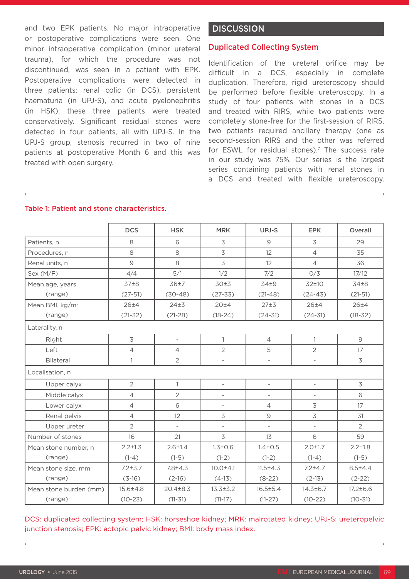and two EPK patients. No major intraoperative or postoperative complications were seen. One minor intraoperative complication (minor ureteral trauma), for which the procedure was not discontinued, was seen in a patient with EPK. Postoperative complications were detected in three patients: renal colic (in DCS), persistent haematuria (in UPJ-S), and acute pyelonephritis (in HSK); these three patients were treated conservatively. Significant residual stones were detected in four patients, all with UPJ-S. In the UPJ-S group, stenosis recurred in two of nine patients at postoperative Month 6 and this was treated with open surgery.

## **DISCUSSION**

### Duplicated Collecting System

Identification of the ureteral orifice may be difficult in a DCS, especially in complete duplication. Therefore, rigid ureteroscopy should be performed before flexible ureteroscopy. In a study of four patients with stones in a DCS and treated with RIRS, while two patients were completely stone-free for the first-session of RIRS, two patients required ancillary therapy (one as second-session RIRS and the other was referred for ESWL for residual stones).<sup>7</sup> The success rate in our study was 75%. Our series is the largest series containing patients with renal stones in a DCS and treated with flexible ureteroscopy.

|                             | <b>DCS</b>       | <b>HSK</b>               | <b>MRK</b>               | UPJ-S                    | <b>EPK</b>               | Overall        |  |  |  |  |
|-----------------------------|------------------|--------------------------|--------------------------|--------------------------|--------------------------|----------------|--|--|--|--|
| Patients, n                 | 8                | 6                        | $\overline{3}$           | 9                        | 3                        | 29             |  |  |  |  |
| Procedures, n               | 8                | 8                        | $\overline{3}$           | 12                       | $\overline{4}$           | 35             |  |  |  |  |
| Renal units, n              | 9                | 8                        | $\overline{3}$           | 12                       | $\overline{4}$           | 36             |  |  |  |  |
| Sex (M/F)                   | 4/4              | 5/1                      | 1/2                      | 7/2                      | O/3                      | 17/12          |  |  |  |  |
| Mean age, years             | 37 <sub>±8</sub> | 36±7                     | 30±3                     | $34+9$                   | 32±10                    | $34\pm8$       |  |  |  |  |
| (range)                     | $(27-51)$        | $(30-48)$                | $(27 - 33)$              | $(21-48)$                | $(24-43)$                | $(21-51)$      |  |  |  |  |
| Mean BMI, kg/m <sup>2</sup> | $26 + 4$         | $24\pm3$                 | 20±4                     | 27±3                     | $26 + 4$                 | $26 + 4$       |  |  |  |  |
| (range)                     | $(21 - 32)$      | $(21-28)$                | $(18-24)$                | $(24-31)$                | $(24 - 31)$              | $(18 - 32)$    |  |  |  |  |
| Laterality, n               |                  |                          |                          |                          |                          |                |  |  |  |  |
| Right                       | 3                | $\overline{\phantom{0}}$ | $\mathbf{1}$             | $\overline{4}$           | $\mathbf{1}$             | $\overline{9}$ |  |  |  |  |
| Left                        | $\overline{4}$   | $\overline{4}$           | $\overline{2}$           | 5                        | $\overline{2}$           | 17             |  |  |  |  |
| Bilateral                   | $\mathbf{1}$     | $\overline{2}$           | $\overline{\phantom{0}}$ | $\overline{\phantom{a}}$ | $\overline{\phantom{a}}$ | 3              |  |  |  |  |
| Localisation, n             |                  |                          |                          |                          |                          |                |  |  |  |  |
| Upper calyx                 | $\overline{2}$   | $\mathbf{1}$             | $\overline{a}$           | $\overline{\phantom{a}}$ | $\overline{\phantom{a}}$ | 3              |  |  |  |  |
| Middle calyx                | $\overline{4}$   | $\overline{2}$           | $\overline{a}$           | $\overline{\phantom{a}}$ |                          | 6              |  |  |  |  |
| Lower calyx                 | $\overline{4}$   | 6                        | $\overline{\phantom{a}}$ | $\overline{4}$           | 3                        | 17             |  |  |  |  |
| Renal pelvis                | $\overline{4}$   | 12                       | $\overline{\mathcal{S}}$ | $\mathcal{Q}$            | $\overline{3}$           | 31             |  |  |  |  |
| Upper ureter                | $\overline{2}$   |                          | $\overline{\phantom{0}}$ | $\overline{\phantom{a}}$ | $\overline{\phantom{a}}$ | $\overline{2}$ |  |  |  |  |
| Number of stones            | 16               | 21                       | $\overline{3}$           | 13                       | 6                        | 59             |  |  |  |  |
| Mean stone number, n        | $2.2 \pm 1.3$    | $2.6 + 1.4$              | $1.3 \pm 0.6$            | $1.4 \pm 0.5$            | $2.0 \pm 1.7$            | $2.2 \pm 1.8$  |  |  |  |  |
| (range)                     | $(1-4)$          | $(1-5)$                  | $(1-2)$                  | $(1-2)$                  | $(1-4)$                  | $(1-5)$        |  |  |  |  |
| Mean stone size, mm         | $7.2 + 3.7$      | $7.8 + 4.3$              | $10.0 + 4.1$             | $11.5 + 4.3$             | $7.2 + 4.7$              | $8.5 + 4.4$    |  |  |  |  |
| (range)                     | $(3-16)$         | $(2-16)$                 | $(4-13)$                 | $(8-22)$                 | $(2-13)$                 | $(2-22)$       |  |  |  |  |
| Mean stone burden (mm)      | $15.6 \pm 4.8$   | $20.4 \pm 8.3$           | $13.3 \pm 3.2$           | $16.5 \pm 5.4$           | $14.3 \pm 6.7$           | $17.2 \pm 6.6$ |  |  |  |  |
| (range)                     | $(10-23)$        | $(11-31)$                | $(11-17)$                | $(11-27)$                | $(10-22)$                | $(10-31)$      |  |  |  |  |

#### Table 1: Patient and stone characteristics.

DCS: duplicated collecting system; HSK: horseshoe kidney; MRK: malrotated kidney; UPJ-S: ureteropelvic junction stenosis; EPK: ectopic pelvic kidney; BMI: body mass index.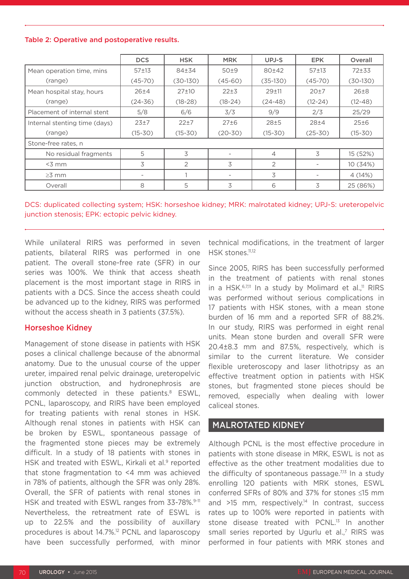#### Table 2: Operative and postoperative results.

|                               | <b>DCS</b>               | <b>HSK</b>  | <b>MRK</b>               | UPJ-S          | <b>EPK</b>  | Overall     |  |  |  |
|-------------------------------|--------------------------|-------------|--------------------------|----------------|-------------|-------------|--|--|--|
| Mean operation time, mins     | $57 + 13$                | 84±34       | 50±9                     | 80±42          | $57+13$     | $72+33$     |  |  |  |
| (range)                       | $(45-70)$                | $(30-130)$  | $(45-60)$                | $(35-130)$     | $(45-70)$   | $(30-130)$  |  |  |  |
| Mean hospital stay, hours     | $26 + 4$                 | $27+10$     | $22+3$                   | $29 + 11$      | $20+7$      | $26\pm8$    |  |  |  |
| (range)                       | $(24 - 36)$              | $(18-28)$   | $(18-24)$                | $(24-48)$      | $(12-24)$   | $(12 - 48)$ |  |  |  |
| Placement of internal stent   | 5/8                      | 6/6         | 3/3                      | 9/9            | 2/3         | 25/29       |  |  |  |
| Internal stenting time (days) | $23+7$                   | $22+7$      | $27\pm6$                 | 28±5           | $28 + 4$    | 25±6        |  |  |  |
| (range)                       | $(15 - 30)$              | $(15 - 30)$ | $(20-30)$                | $(15 - 30)$    | $(25 - 30)$ | $(15 - 30)$ |  |  |  |
| Stone-free rates, n           |                          |             |                          |                |             |             |  |  |  |
| No residual fragments         | 5                        | 3           |                          | $\overline{4}$ | 3           | 15 (52%)    |  |  |  |
| $<$ 3 mm                      | 3                        | 2           | 3                        | 2              |             | 10 (34%)    |  |  |  |
| $\geq$ 3 mm                   | $\overline{\phantom{a}}$ |             | $\overline{\phantom{a}}$ | 3              |             | 4(14%)      |  |  |  |
| Overall                       | 8                        | 5           | 3                        | 6              | 3           | 25 (86%)    |  |  |  |

DCS: duplicated collecting system; HSK: horseshoe kidney; MRK: malrotated kidney; UPJ-S: ureteropelvic junction stenosis; EPK: ectopic pelvic kidney.

While unilateral RIRS was performed in seven patients, bilateral RIRS was performed in one patient. The overall stone-free rate (SFR) in our series was 100%. We think that access sheath placement is the most important stage in RIRS in patients with a DCS. Since the access sheath could be advanced up to the kidney, RIRS was performed without the access sheath in 3 patients (37.5%).

## Horseshoe Kidney

Management of stone disease in patients with HSK poses a clinical challenge because of the abnormal anatomy. Due to the unusual course of the upper ureter, impaired renal pelvic drainage, ureteropelvic junction obstruction, and hydronephrosis are commonly detected in these patients.<sup>8</sup> ESWL, PCNL, laparoscopy, and RIRS have been employed for treating patients with renal stones in HSK. Although renal stones in patients with HSK can be broken by ESWL, spontaneous passage of the fragmented stone pieces may be extremely difficult. In a study of 18 patients with stones in HSK and treated with ESWL, Kirkali et al.<sup>9</sup> reported that stone fragmentation to <4 mm was achieved in 78% of patients, although the SFR was only 28%. Overall, the SFR of patients with renal stones in HSK and treated with ESWL ranges from 33-78%.<sup>9-11</sup> Nevertheless, the retreatment rate of ESWL is up to 22.5% and the possibility of auxillary procedures is about 14.7%.12 PCNL and laparoscopy have been successfully performed, with minor

technical modifications, in the treatment of larger HSK stones.<sup>11,12</sup>

Since 2005, RIRS has been successfully performed in the treatment of patients with renal stones in a HSK.<sup>6,7,11</sup> In a study by Molimard et al.,<sup>11</sup> RIRS was performed without serious complications in 17 patients with HSK stones, with a mean stone burden of 16 mm and a reported SFR of 88.2%. In our study, RIRS was performed in eight renal units. Mean stone burden and overall SFR were 20.4±8.3 mm and 87.5%, respectively, which is similar to the current literature. We consider flexible ureteroscopy and laser lithotripsy as an effective treatment option in patients with HSK stones, but fragmented stone pieces should be removed, especially when dealing with lower caliceal stones.

## MALROTATED KIDNEY

Although PCNL is the most effective procedure in patients with stone disease in MRK, ESWL is not as effective as the other treatment modalities due to the difficulty of spontaneous passage.<sup>7,13</sup> In a study enrolling 120 patients with MRK stones, ESWL conferred SFRs of 80% and 37% for stones ≤15 mm and  $>15$  mm, respectively.<sup>14</sup> In contrast, success rates up to 100% were reported in patients with stone disease treated with PCNL.<sup>13</sup> In another small series reported by Ugurlu et al.<sup>7</sup> RIRS was performed in four patients with MRK stones and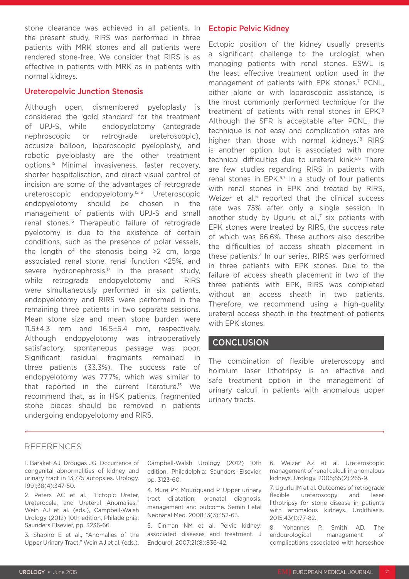stone clearance was achieved in all patients. In the present study, RIRS was performed in three patients with MRK stones and all patients were rendered stone-free. We consider that RIRS is as effective in patients with MRK as in patients with normal kidneys.

### Ureteropelvic Junction Stenosis

Although open, dismembered pyeloplasty is considered the 'gold standard' for the treatment of UPJ-S, while endopyelotomy (antegrade nephroscopic or retrograde ureteroscopic), accusize balloon, laparoscopic pyeloplasty, and robotic pyeloplasty are the other treatment options.15 Minimal invasiveness, faster recovery, shorter hospitalisation, and direct visual control of incision are some of the advantages of retrograde ureteroscopic endopyelotomy.15,16 Ureteroscopic endopyelotomy should be chosen in the management of patients with UPJ-S and small renal stones.15 Therapeutic failure of retrograde pyelotomy is due to the existence of certain conditions, such as the presence of polar vessels, the length of the stenosis being >2 cm, large associated renal stone, renal function <25%, and severe hydronephrosis.<sup>17</sup> In the present study, while retrograde endopyelotomy and RIRS were simultaneously performed in six patients, endopyelotomy and RIRS were performed in the remaining three patients in two separate sessions. Mean stone size and mean stone burden were 11.5±4.3 mm and 16.5±5.4 mm, respectively. Although endopyelotomy was intraoperatively satisfactory, spontaneous passage was poor. Significant residual fragments remained in three patients (33.3%). The success rate of endopyelotomy was 77.7%, which was similar to that reported in the current literature.15 We recommend that, as in HSK patients, fragmented stone pieces should be removed in patients undergoing endopyelotomy and RIRS.

## Ectopic Pelvic Kidney

Ectopic position of the kidney usually presents a significant challenge to the urologist when managing patients with renal stones. ESWL is the least effective treatment option used in the management of patients with EPK stones.<sup>7</sup> PCNL, either alone or with laparoscopic assistance, is the most commonly performed technique for the treatment of patients with renal stones in EPK.18 Although the SFR is acceptable after PCNL, the technique is not easy and complication rates are higher than those with normal kidneys.<sup>18</sup> RIRS is another option, but is associated with more technical difficulties due to ureteral kink.<sup>5,6</sup> There are few studies regarding RIRS in patients with renal stones in EPK.<sup>6,7</sup> In a study of four patients with renal stones in EPK and treated by RIRS, Weizer et al.<sup>6</sup> reported that the clinical success rate was 75% after only a single session. In another study by Ugurlu et al.<sup>7</sup> six patients with EPK stones were treated by RIRS, the success rate of which was 66.6%. These authors also describe the difficulties of access sheath placement in these patients.7 In our series, RIRS was performed in three patients with EPK stones. Due to the failure of access sheath placement in two of the three patients with EPK, RIRS was completed without an access sheath in two patients. Therefore, we recommend using a high-quality ureteral access sheath in the treatment of patients with EPK stones.

## **CONCLUSION**

The combination of flexible ureteroscopy and holmium laser lithotripsy is an effective and safe treatment option in the management of urinary calculi in patients with anomalous upper urinary tracts.

## REFERENCES

1. Barakat AJ, Drougas JG. Occurrence of congenital abnormalities of kidney and urinary tract in 13,775 autopsies. Urology. 1991;38(4):347-50.

2. Peters AC et al., "Ectopic Ureter, Ureterocele, and Ureteral Anomalies," Wein AJ et al. (eds.), Campbell-Walsh Urology (2012) 10th edition, Philadelphia: Saunders Elsevier, pp. 3236-66.

3. Shapiro E et al., "Anomalies of the Upper Urinary Tract," Wein AJ et al. (eds.), Campbell-Walsh Urology (2012) 10th edition, Philadelphia: Saunders Elsevier, pp. 3123-60.

4. Mure PY, Mouriquand P. Upper urinary tract dilatation: prenatal diagnosis, management and outcome. Semin Fetal Neonatal Med. 2008;13(3):152-63.

5. Cinman NM et al. Pelvic kidney: associated diseases and treatment. J Endourol. 2007;21(8):836-42.

6. Weizer AZ et al. Ureteroscopic management of renal calculi in anomalous kidneys. Urology. 2005;65(2):265-9.

7. Ugurlu IM et al. Outcomes of retrograde flexible ureteroscopy and laser lithotripsy for stone disease in patients with anomalous kidneys. Urolithiasis. 2015;43(1):77-82.

8. Yohannes P, Smith AD. The endourological management of complications associated with horseshoe